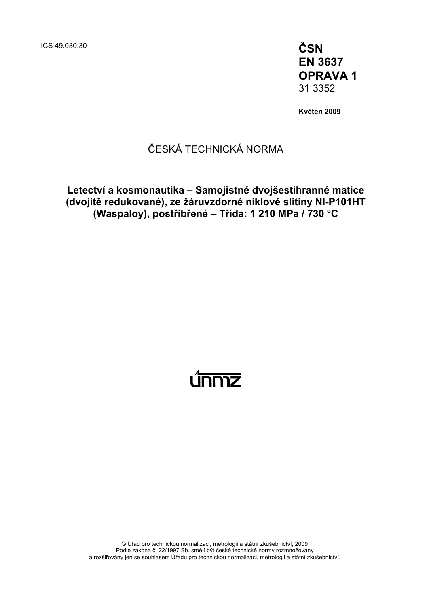ICS 49.030.30 **ČSN** 

**EN 3637 OPRAVA 1**  31 3352

**Květen 2009** 

## ČESKÁ TECHNICKÁ NORMA

**Letectví a kosmonautika – Samojistné dvojšestihranné matice (dvojitě redukované), ze žáruvzdorné niklové slitiny NI-P101HT (Waspaloy), postříbřené – Třída: 1 210 MPa / 730 °C** 

# <u>únmz</u>

© Úřad pro technickou normalizaci, metrologii a státní zkušebnictví, 2009 Podle zákona č. 22/1997 Sb. smějí být české technické normy rozmnožovány a rozšiřovány jen se souhlasem Úřadu pro technickou normalizaci, metrologii a státní zkušebnictví.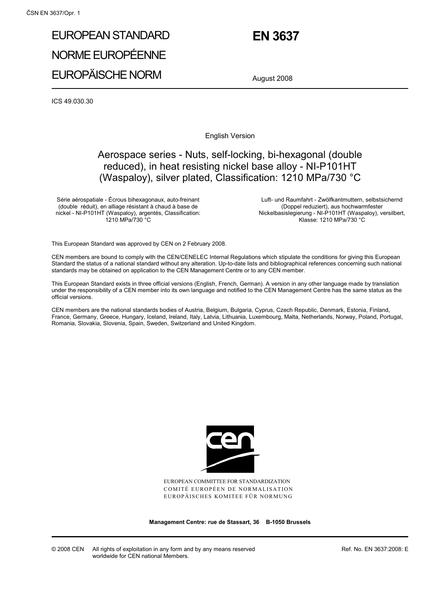## EUROPEAN STANDARD NORME EUROPÉENNE EUROPÄISCHE NORM

## **EN 3637**

August 2008

ICS 49.030.30

English Version

## Aerospace series - Nuts, self-locking, bi-hexagonal (double reduced), in heat resisting nickel base alloy - NI-P101HT (Waspaloy), silver plated, Classification: 1210 MPa/730 °C

Série aérospatiale - Écrous bihexagonaux, auto-freinant (double réduit), en alliage résistant à chaud à base de nickel - NI-P101HT (Waspaloy), argentés, Classification: 1210 MPa/730 °C

 Luft- und Raumfahrt - Zwölfkantmuttern, selbstsichernd (Doppel reduziert), aus hochwarmfester Nickelbasislegierung - NI-P101HT (Waspaloy), versilbert, Klasse: 1210 MPa/730 °C

This European Standard was approved by CEN on 2 February 2008.

CEN members are bound to comply with the CEN/CENELEC Internal Regulations which stipulate the conditions for giving this European Standard the status of a national standard without any alteration. Up-to-date lists and bibliographical references concerning such national standards may be obtained on application to the CEN Management Centre or to any CEN member.

This European Standard exists in three official versions (English, French, German). A version in any other language made by translation under the responsibility of a CEN member into its own language and notified to the CEN Management Centre has the same status as the official versions.

CEN members are the national standards bodies of Austria, Belgium, Bulgaria, Cyprus, Czech Republic, Denmark, Estonia, Finland, France, Germany, Greece, Hungary, Iceland, Ireland, Italy, Latvia, Lithuania, Luxembourg, Malta, Netherlands, Norway, Poland, Portugal, Romania, Slovakia, Slovenia, Spain, Sweden, Switzerland and United Kingdom.



EUROPEAN COMMITTEE FOR STANDARDIZATION COMITÉ EUROPÉEN DE NORMALISATION EUROPÄISCHES KOMITEE FÜR NORMUNG

**Management Centre: rue de Stassart, 36 B-1050 Brussels**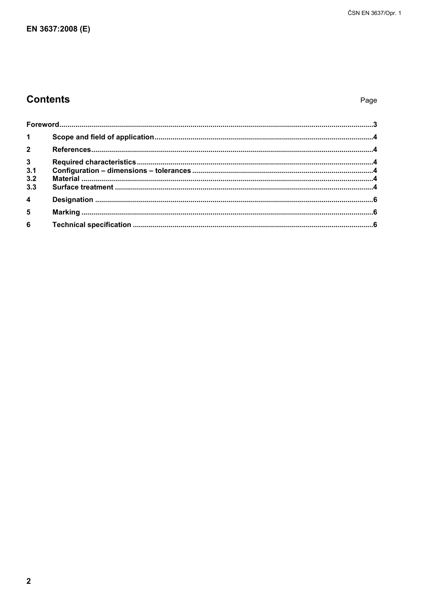## **Contents**

Page

| 1 <sup>1</sup>          |  |
|-------------------------|--|
|                         |  |
| $\frac{3}{3.1}$         |  |
|                         |  |
| 3.2                     |  |
| 3.3                     |  |
| $\overline{4}$          |  |
| $\overline{\mathbf{5}}$ |  |
| $6\phantom{a}$          |  |
|                         |  |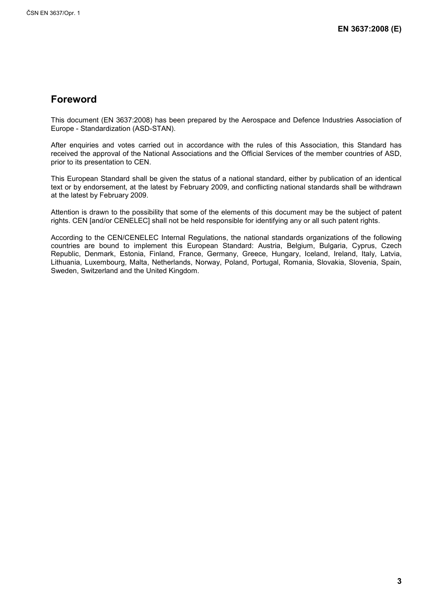### **Foreword**

This document (EN 3637:2008) has been prepared by the Aerospace and Defence Industries Association of Europe - Standardization (ASD-STAN).

After enquiries and votes carried out in accordance with the rules of this Association, this Standard has received the approval of the National Associations and the Official Services of the member countries of ASD, prior to its presentation to CEN.

This European Standard shall be given the status of a national standard, either by publication of an identical text or by endorsement, at the latest by February 2009, and conflicting national standards shall be withdrawn at the latest by February 2009.

Attention is drawn to the possibility that some of the elements of this document may be the subject of patent rights. CEN [and/or CENELEC] shall not be held responsible for identifying any or all such patent rights.

According to the CEN/CENELEC Internal Regulations, the national standards organizations of the following countries are bound to implement this European Standard: Austria, Belgium, Bulgaria, Cyprus, Czech Republic, Denmark, Estonia, Finland, France, Germany, Greece, Hungary, Iceland, Ireland, Italy, Latvia, Lithuania, Luxembourg, Malta, Netherlands, Norway, Poland, Portugal, Romania, Slovakia, Slovenia, Spain, Sweden, Switzerland and the United Kingdom.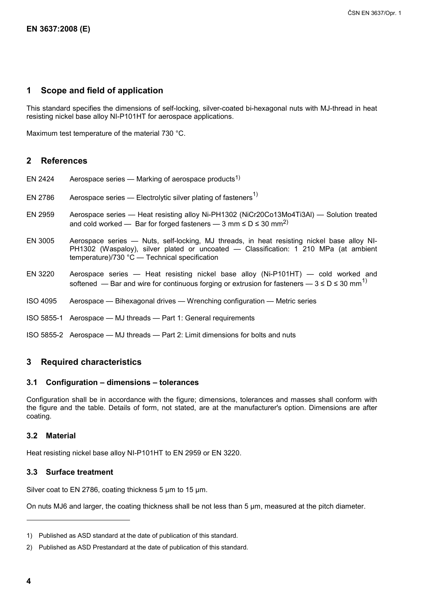#### **1 Scope and field of application**

This standard specifies the dimensions of self-locking, silver-coated bi-hexagonal nuts with MJ-thread in heat resisting nickel base alloy NI-P101HT for aerospace applications.

Maximum test temperature of the material 730 °C.

#### **2 References**

- EN 2424 Aerospace series Marking of aerospace products<sup>1)</sup>
- EN 2786 Aerospace series  $-$  Electrolytic silver plating of fasteners<sup>1)</sup>
- EN 2959 Aerospace series Heat resisting alloy Ni-PH1302 (NiCr20Co13Mo4Ti3Al) Solution treated and cold worked — Bar for forged fasteners — 3 mm  $\leq D \leq 30$  mm<sup>2)</sup>
- EN 3005 Aerospace series Nuts, self-locking, MJ threads, in heat resisting nickel base alloy NI-PH1302 (Waspaloy), silver plated or uncoated — Classification: 1 210 MPa (at ambient temperature)/730 °C — Technical specification
- EN 3220 Aerospace series Heat resisting nickel base alloy (Ni-P101HT) cold worked and softened — Bar and wire for continuous forging or extrusion for fasteners —  $3 \le D \le 30$  mm<sup>1</sup>
- ISO 4095 Aerospace Bihexagonal drives Wrenching configuration Metric series
- ISO 5855-1 Aerospace MJ threads Part 1: General requirements
- ISO 5855-2 Aerospace MJ threads Part 2: Limit dimensions for bolts and nuts

#### **3 Required characteristics**

#### **3.1 Configuration – dimensions – tolerances**

Configuration shall be in accordance with the figure; dimensions, tolerances and masses shall conform with the figure and the table. Details of form, not stated, are at the manufacturer's option. Dimensions are after coating.

#### **3.2 Material**

Heat resisting nickel base alloy NI-P101HT to EN 2959 or EN 3220.

#### **3.3 Surface treatment**

Silver coat to EN 2786, coating thickness 5 µm to 15 µm.

On nuts MJ6 and larger, the coating thickness shall be not less than 5 µm, measured at the pitch diameter.

l

<sup>1)</sup> Published as ASD standard at the date of publication of this standard.

<sup>2)</sup> Published as ASD Prestandard at the date of publication of this standard.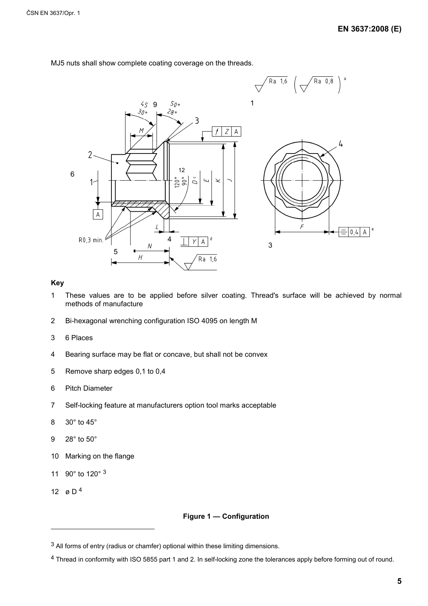

MJ5 nuts shall show complete coating coverage on the threads.

#### **Key**

- 1 These values are to be applied before silver coating. Thread's surface will be achieved by normal methods of manufacture
- 2 Bi-hexagonal wrenching configuration ISO 4095 on length M
- 3 6 Places
- 4 Bearing surface may be flat or concave, but shall not be convex
- 5 Remove sharp edges 0,1 to 0,4
- 6 Pitch Diameter
- 7 Self-locking feature at manufacturers option tool marks acceptable
- 8 30° to 45°
- 9 28° to 50°
- 10 Marking on the flange
- 11 90° to 120° 3
- 12 ø D<sup>4</sup>

 $\overline{a}$ 

#### **Figure 1 — Configuration**

 $3$  All forms of entry (radius or chamfer) optional within these limiting dimensions.

<sup>4</sup> Thread in conformity with ISO 5855 part 1 and 2. In self-locking zone the tolerances apply before forming out of round.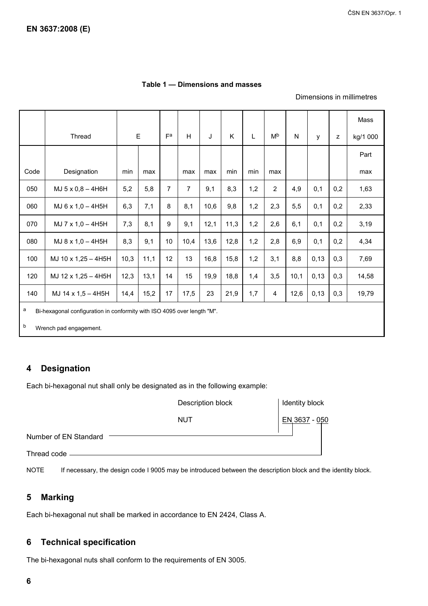#### **Table 1 — Dimensions and masses**

#### Dimensions in millimetres

|                                                                              |                     |      |             |                |                |      |      |     |                |      |      |     | Mass     |
|------------------------------------------------------------------------------|---------------------|------|-------------|----------------|----------------|------|------|-----|----------------|------|------|-----|----------|
|                                                                              | Thread              |      | $\mathsf E$ | $F^a$          | H              | J    | Κ    | L   | M <sub>p</sub> | N    | y    | z   | kg/1 000 |
|                                                                              |                     |      |             |                |                |      |      |     |                |      |      |     | Part     |
| Code                                                                         | Designation         | min  | max         |                | max            | max  | min  | min | max            |      |      |     | max      |
| 050                                                                          | MJ 5 x 0,8 - 4H6H   | 5,2  | 5,8         | $\overline{7}$ | $\overline{7}$ | 9,1  | 8,3  | 1,2 | $\overline{2}$ | 4,9  | 0,1  | 0,2 | 1,63     |
| 060                                                                          | MJ 6 x 1,0 - 4H5H   | 6,3  | 7,1         | 8              | 8,1            | 10,6 | 9,8  | 1,2 | 2,3            | 5,5  | 0,1  | 0,2 | 2,33     |
| 070                                                                          | MJ 7 x 1,0 - 4H5H   | 7,3  | 8,1         | 9              | 9,1            | 12,1 | 11,3 | 1,2 | 2,6            | 6,1  | 0,1  | 0,2 | 3,19     |
| 080                                                                          | MJ 8 x 1,0 - 4H5H   | 8,3  | 9,1         | 10             | 10,4           | 13,6 | 12,8 | 1,2 | 2,8            | 6,9  | 0,1  | 0,2 | 4,34     |
| 100                                                                          | MJ 10 x 1,25 - 4H5H | 10,3 | 11,1        | 12             | 13             | 16,8 | 15,8 | 1,2 | 3,1            | 8,8  | 0,13 | 0,3 | 7,69     |
| 120                                                                          | MJ 12 x 1,25 - 4H5H | 12,3 | 13,1        | 14             | 15             | 19,9 | 18,8 | 1,4 | 3,5            | 10,1 | 0,13 | 0,3 | 14,58    |
| 140                                                                          | MJ 14 x 1,5 - 4H5H  | 14,4 | 15,2        | 17             | 17,5           | 23   | 21,9 | 1,7 | 4              | 12,6 | 0,13 | 0,3 | 19,79    |
| a<br>Bi-hexagonal configuration in conformity with ISO 4095 over length "M". |                     |      |             |                |                |      |      |     |                |      |      |     |          |
| b<br>Wrench pad engagement.                                                  |                     |      |             |                |                |      |      |     |                |      |      |     |          |

#### **4 Designation**

Each bi-hexagonal nut shall only be designated as in the following example:

|                       | Description block | Identity block |  |  |
|-----------------------|-------------------|----------------|--|--|
|                       | NUT               | EN 3637 - 050  |  |  |
| Number of EN Standard |                   |                |  |  |
| Thread code -         |                   |                |  |  |

NOTE If necessary, the design code I 9005 may be introduced between the description block and the identity block.

#### **5 Marking**

Each bi-hexagonal nut shall be marked in accordance to EN 2424, Class A.

#### **6 Technical specification**

The bi-hexagonal nuts shall conform to the requirements of EN 3005.